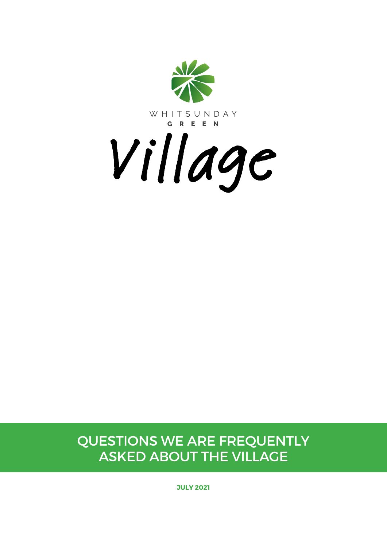

Questions we are frequently asked about the VIllage

**JULY 2021**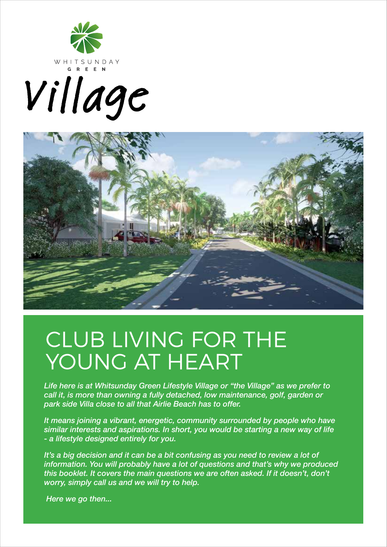





# CLUB LIVING FOR THE YOUNG AT HEART

*Life here is at Whitsunday Green Lifestyle Village or "the Village" as we prefer to call it, is more than owning a fully detached, low maintenance, golf, garden or park side Villa close to all that Airlie Beach has to offer.*

*It means joining a vibrant, energetic, community surrounded by people who have similar interests and aspirations. In short, you would be starting a new way of life - a lifestyle designed entirely for you.*

It's a big decision and it can be a bit confusing as you need to review a lot of *information. You will probably have a lot of questions and that's why we produced this booklet. It covers the main questions we are often asked. If it doesn't, don't worry, simply call us and we will try to help.* 

 *Here we go then...*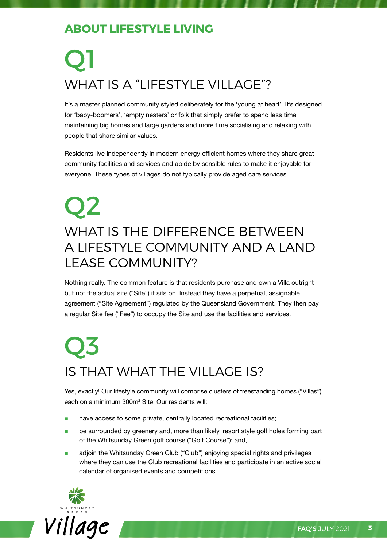#### **About Lifestyle living**

# Q1 WHAT IS A "LIFESTYLE VILLAGE"?

It's a master planned community styled deliberately for the 'young at heart'. It's designed for 'baby-boomers', 'empty nesters' or folk that simply prefer to spend less time maintaining big homes and large gardens and more time socialising and relaxing with people that share similar values.

Residents live independently in modern energy efficient homes where they share great community facilities and services and abide by sensible rules to make it enjoyable for everyone. These types of villages do not typically provide aged care services.

#### Q2 What is the difference between a lifestyle community and a land lease community?

Nothing really. The common feature is that residents purchase and own a Villa outright but not the actual site ("Site") it sits on. Instead they have a perpetual, assignable agreement ("Site Agreement") regulated by the Queensland Government. They then pay a regular Site fee ("Fee") to occupy the Site and use the facilities and services.

## Q3 Is that what the Village is?

Yes, exactly! Our lifestyle community will comprise clusters of freestanding homes ("Villas") each on a minimum 300m2 Site. Our residents will:

- have access to some private, centrally located recreational facilities;
- be surrounded by greenery and, more than likely, resort style golf holes forming part of the Whitsunday Green golf course ("Golf Course"); and,
- adjoin the Whitsunday Green Club ("Club") enjoying special rights and privileges where they can use the Club recreational facilities and participate in an active social calendar of organised events and competitions.

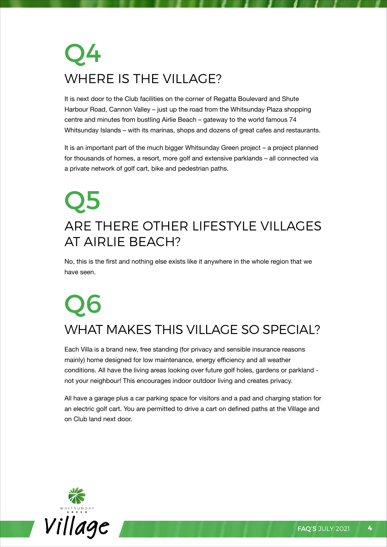## Q4 Where is the Village?

It is next door to the Club facilities on the corner of Regatta Boulevard and Shute Harbour Road, Cannon Valley – just up the road from the Whitsunday Plaza shopping centre and minutes from bustling Airlie Beach – gateway to the world famous 74 Whitsunday Islands – with its marinas, shops and dozens of great cafes and restaurants.

It is an important part of the much bigger Whitsunday Green project – a project planned for thousands of homes, a resort, more golf and extensive parklands – all connected via a private network of golf cart, bike and pedestrian paths.

### Q5 Are there other lifestyle villages at Airlie Beach?

No, this is the first and nothing else exists like it anywhere in the whole region that we have seen.

## Q6 What makes this Village so special?

Each Villa is a brand new, free standing (for privacy and sensible insurance reasons mainly) home designed for low maintenance, energy efficiency and all weather conditions. All have the living areas looking over future golf holes, gardens or parkland not your neighbour! This encourages indoor outdoor living and creates privacy.

All have a garage plus a car parking space for visitors and a pad and charging station for an electric golf cart. You are permitted to drive a cart on defined paths at the Village and on Club land next door.

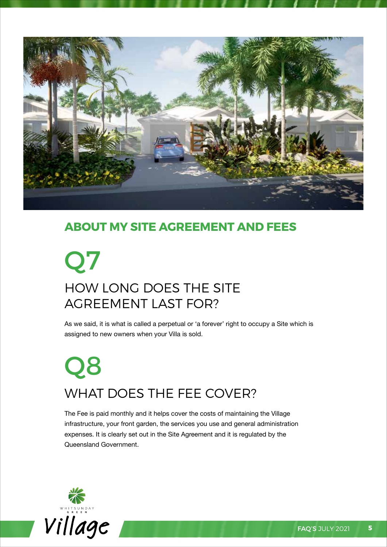

#### **ABOUT MY SITE AGREEMENT AND FEES**

## Q7 How long does the Site AGREEMENT LAST FOR?

As we said, it is what is called a perpetual or 'a forever' right to occupy a Site which is assigned to new owners when your Villa is sold.

# Q8 WHAT DOES THE FEE COVER?

The Fee is paid monthly and it helps cover the costs of maintaining the Village infrastructure, your front garden, the services you use and general administration expenses. It is clearly set out in the Site Agreement and it is regulated by the Queensland Government.

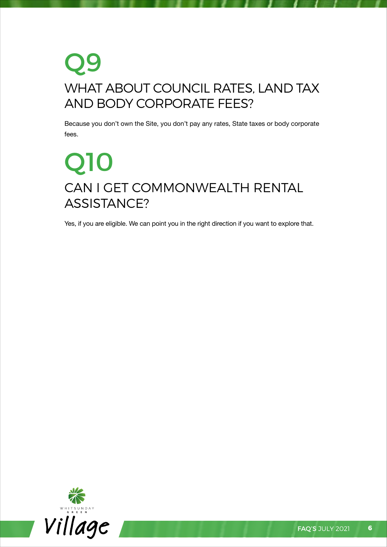### Q9 What about council rates, land tax and body corporate fees?

Because you don't own the Site, you don't pay any rates, State taxes or body corporate fees.

## Q10 CAN I GET COMMONWEALTH RENTAL Assistance?

Yes, if you are eligible. We can point you in the right direction if you want to explore that.

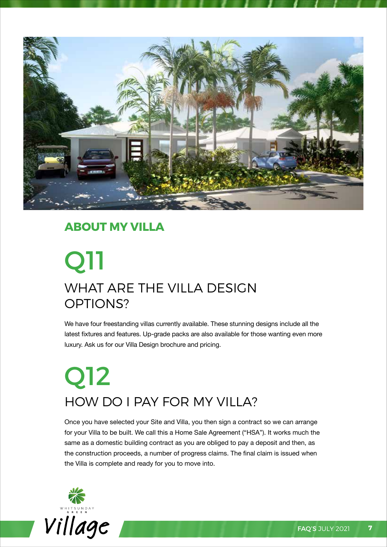

#### **ABOUT MY VILLA**

## Q11 WHAT ARE THE VILLA DESIGN OPTIONS?

We have four freestanding villas currently available. These stunning designs include all the latest fixtures and features. Up-grade packs are also available for those wanting even more luxury. Ask us for our Villa Design brochure and pricing.

# Q12 HOW DO I PAY FOR MY VILLA?

Once you have selected your Site and Villa, you then sign a contract so we can arrange for your Villa to be built. We call this a Home Sale Agreement ("HSA"). It works much the same as a domestic building contract as you are obliged to pay a deposit and then, as the construction proceeds, a number of progress claims. The final claim is issued when the Villa is complete and ready for you to move into.

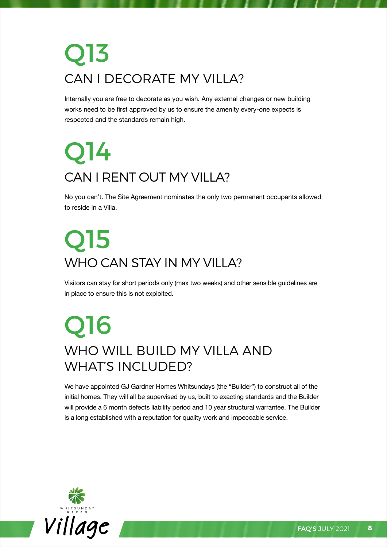# Q13 CAN I DECORATE MY VILLA?

Internally you are free to decorate as you wish. Any external changes or new building works need to be first approved by us to ensure the amenity every-one expects is respected and the standards remain high.

# Q14 CAN I RENT OUT MY VILLA?

No you can't. The Site Agreement nominates the only two permanent occupants allowed to reside in a Villa.

# Q15 WHO CAN STAY IN MY VILLA?

Visitors can stay for short periods only (max two weeks) and other sensible guidelines are in place to ensure this is not exploited.

### Q16 WHO WILL BUILD MY VILLA AND WHAT'S INCLUDED?

We have appointed GJ Gardner Homes Whitsundays (the "Builder") to construct all of the initial homes. They will all be supervised by us, built to exacting standards and the Builder will provide a 6 month defects liability period and 10 year structural warrantee. The Builder is a long established with a reputation for quality work and impeccable service.

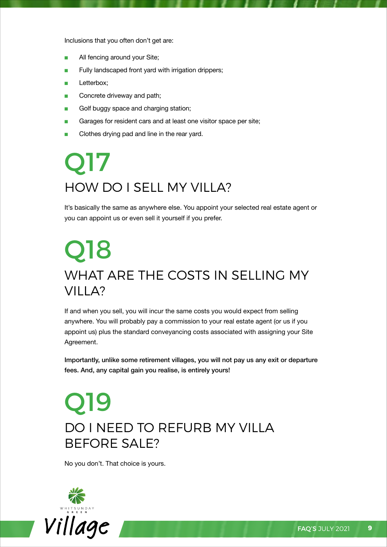Inclusions that you often don't get are:

- All fencing around your Site;
- Fully landscaped front yard with irrigation drippers;
- Letterbox;
- Concrete driveway and path;
- Golf buggy space and charging station;
- Garages for resident cars and at least one visitor space per site;
- Clothes drying pad and line in the rear yard.

# Q17 HOW DO I SELL MY VILI A?

It's basically the same as anywhere else. You appoint your selected real estate agent or you can appoint us or even sell it yourself if you prefer.

### Q18 What are the costs in selling my Villa?

If and when you sell, you will incur the same costs you would expect from selling anywhere. You will probably pay a commission to your real estate agent (or us if you appoint us) plus the standard conveyancing costs associated with assigning your Site Agreement.

Importantly, unlike some retirement villages, you will not pay us any exit or departure fees. And, any capital gain you realise, is entirely yours!

#### Q19 DO I NEED TO REFURB MY VILLA before sale?

No you don't. That choice is yours.

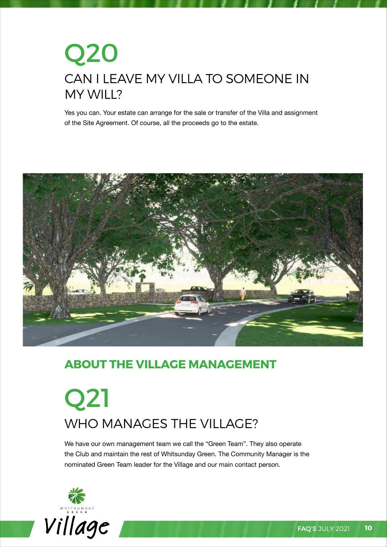### Q20 Can I leave my Villa to someone in my will?

Yes you can. Your estate can arrange for the sale or transfer of the Villa and assignment of the Site Agreement. Of course, all the proceeds go to the estate.



#### **ABOUT THE VILLAGE MANAGEMENT**

## Q21 WHO MANAGES THE VILLAGE?

We have our own management team we call the "Green Team". They also operate the Club and maintain the rest of Whitsunday Green. The Community Manager is the nominated Green Team leader for the Village and our main contact person.

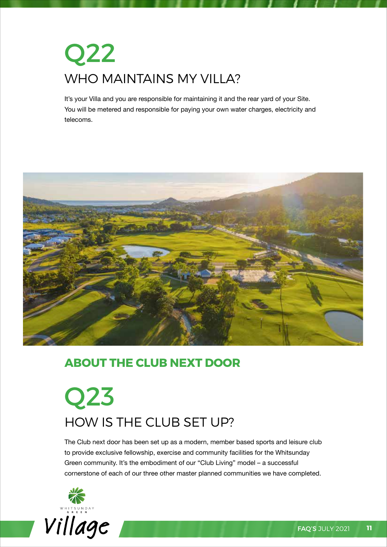# Q22 WHO MAINTAINS MY VILLA?

It's your Villa and you are responsible for maintaining it and the rear yard of your Site. You will be metered and responsible for paying your own water charges, electricity and telecoms.



#### **ABOUT THE CLUB NEXT DOOR**

## Q23 How is the Club set up?

The Club next door has been set up as a modern, member based sports and leisure club to provide exclusive fellowship, exercise and community facilities for the Whitsunday Green community. It's the embodiment of our "Club Living" model – a successful cornerstone of each of our three other master planned communities we have completed.

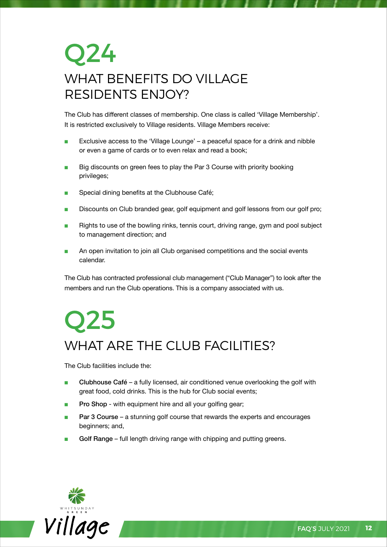### Q24 WHAT BENEFITS DO VILLAGE residents enjoy?

The Club has different classes of membership. One class is called 'Village Membership'. It is restricted exclusively to Village residents. Village Members receive:

- Exclusive access to the 'Village Lounge' a peaceful space for a drink and nibble or even a game of cards or to even relax and read a book;
- Big discounts on green fees to play the Par 3 Course with priority booking privileges;
- Special dining benefits at the Clubhouse Café;
- Discounts on Club branded gear, golf equipment and golf lessons from our golf pro;
- Rights to use of the bowling rinks, tennis court, driving range, gym and pool subject to management direction; and
- An open invitation to join all Club organised competitions and the social events calendar.

The Club has contracted professional club management ("Club Manager") to look after the members and run the Club operations. This is a company associated with us.

## Q25 WHAT ARE THE CLUB FACILITIES?

The Club facilities include the:

- Clubhouse Café a fully licensed, air conditioned venue overlooking the golf with great food, cold drinks. This is the hub for Club social events;
- Pro Shop with equipment hire and all your golfing gear;
- Par 3 Course a stunning golf course that rewards the experts and encourages beginners; and,
- Golf Range full length driving range with chipping and putting greens.

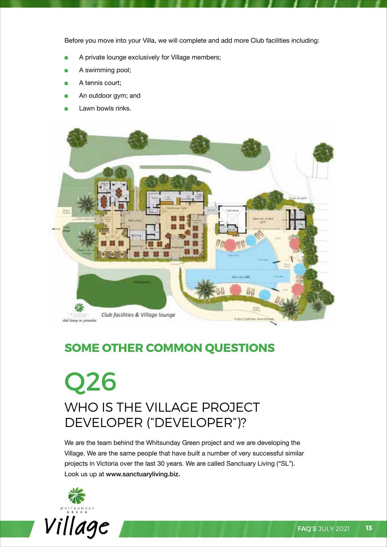Before you move into your Villa, we will complete and add more Club facilities including:

- A private lounge exclusively for Village members;
- A swimming pool;
- A tennis court;
- An outdoor gym; and
- Lawn bowls rinks.



#### **SOME OTHER COMMON QUESTIONS**

#### Q26 WHO IS THE VILLAGE PROJECT developer ("Developer")?

We are the team behind the Whitsunday Green project and we are developing the Village. We are the same people that have built a number of very successful similar projects in Victoria over the last 30 years. We are called Sanctuary Living ("SL"). Look us up at www.sanctuaryliving.biz.



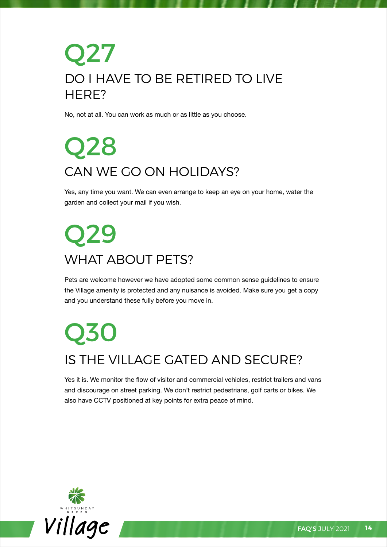### Q27 DO I HAVE TO BE RETIRED TO LIVE HFRF?

No, not at all. You can work as much or as little as you choose.

# Q28 Can we go on holidays?

Yes, any time you want. We can even arrange to keep an eye on your home, water the garden and collect your mail if you wish.

## Q29 WHAT ABOUT PETS?

Pets are welcome however we have adopted some common sense guidelines to ensure the Village amenity is protected and any nuisance is avoided. Make sure you get a copy and you understand these fully before you move in.

## Q30 Is the Village gated and secure?

Yes it is. We monitor the flow of visitor and commercial vehicles, restrict trailers and vans and discourage on street parking. We don't restrict pedestrians, golf carts or bikes. We also have CCTV positioned at key points for extra peace of mind.

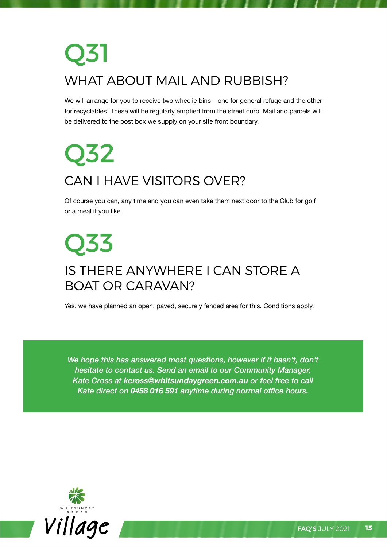# Q31 What about mail and rubbish?

We will arrange for you to receive two wheelie bins – one for general refuge and the other for recyclables. These will be regularly emptied from the street curb. Mail and parcels will be delivered to the post box we supply on your site front boundary.

# Q32 CAN I HAVE VISITORS OVER?

Of course you can, any time and you can even take them next door to the Club for golf or a meal if you like.

### Q33 Is there anywhere I can store a boat or caravan?

Yes, we have planned an open, paved, securely fenced area for this. Conditions apply.

*We hope this has answered most questions, however if it hasn't, don't hesitate to contact us. Send an email to our Community Manager, Kate Cross at kcross@whitsundaygreen.com.au or feel free to call Kate direct on 0458 016 591 anytime during normal office hours.*